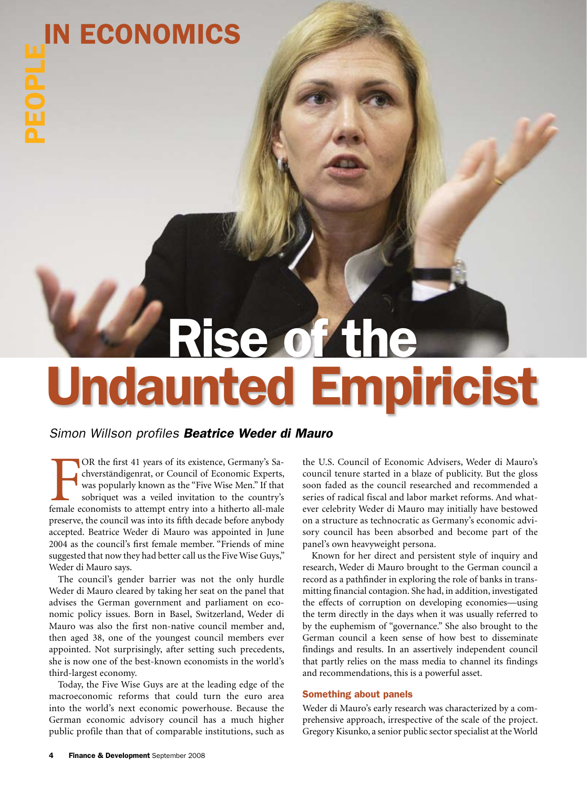# *Parise of the* Undaunted Empiricist

# *Simon Willson profiles Beatrice Weder di Mauro*

OR the first 41 years of its existence, Germany's Sachverständigenrat, or Council of Economic Experts, was popularly known as the "Five Wise Men." If that sobriquet was a veiled invitation to the country's female economist OR the first 41 years of its existence, Germany's Sachverständigenrat, or Council of Economic Experts, was popularly known as the "Five Wise Men." If that sobriquet was a veiled invitation to the country's preserve, the council was into its fifth decade before anybody accepted. Beatrice Weder di Mauro was appointed in June 2004 as the council's first female member. "Friends of mine suggested that now they had better call us the Five Wise Guys," Weder di Mauro says.

The council's gender barrier was not the only hurdle Weder di Mauro cleared by taking her seat on the panel that advises the German government and parliament on economic policy issues. Born in Basel, Switzerland, Weder di Mauro was also the first non-native council member and, then aged 38, one of the youngest council members ever appointed. Not surprisingly, after setting such precedents, she is now one of the best-known economists in the world's third-largest economy.-

Today, the Five Wise Guys are at the leading edge of the macroeconomic reforms that could turn the euro area into the world's next economic powerhouse. Because the German economic advisory council has a much higher public profile than that of comparable institutions, such as

the U.S. Council of Economic Advisers, Weder di Mauro's council tenure started in a blaze of publicity. But the gloss soon faded as the council researched and recommended a series of radical fiscal and labor market reforms. And whatever celebrity Weder di Mauro may initially have bestowed on a structure as technocratic as Germany's economic advisory council has been absorbed and become part of the panel's own heavyweight persona.

Known for her direct and persistent style of inquiry and research, Weder di Mauro brought to the German council a record as a pathfinder in exploring the role of banks in transmitting financial contagion. She had, in addition, investigated the effects of corruption on developing economies—using the term directly in the days when it was usually referred to by the euphemism of "governance." She also brought to the German council a keen sense of how best to disseminate findings and results. In an assertively independent council that partly relies on the mass media to channel its findings and recommendations, this is a powerful asset.-

# Something about panels

Weder di Mauro's early research was characterized by a comprehensive approach, irrespective of the scale of the project. Gregory Kisunko, a senior public sector specialist at the World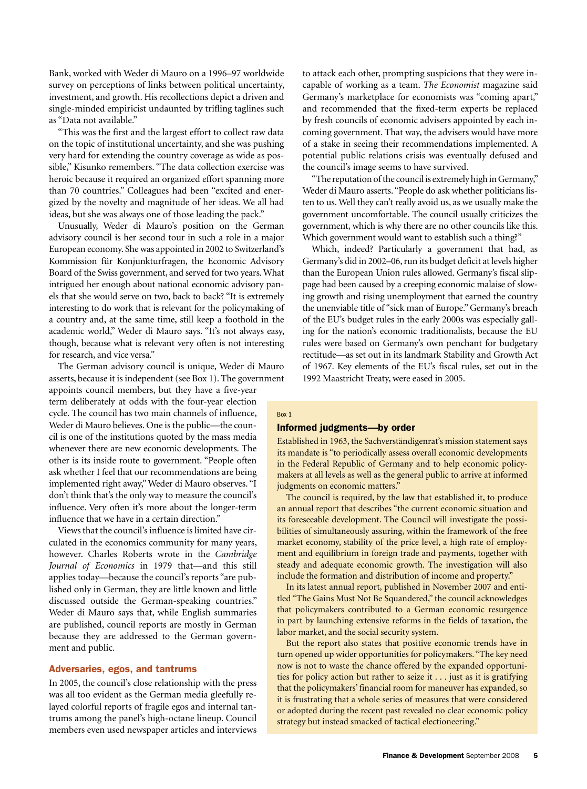Bank, worked with Weder di Mauro on a 1996–97 worldwide survey on perceptions of links between political uncertainty, investment, and growth. His recollections depict a driven and single-minded empiricist undaunted by trifling taglines such as "Data not available."

"This was the first and the largest effort to collect raw data on the topic of institutional uncertainty, and she was pushing very hard for extending the country coverage as wide as possible," Kisunko remembers. "The data collection exercise was heroic because it required an organized effort spanning more than 70 countries." Colleagues had been "excited and energized by the novelty and magnitude of her ideas. We all had ideas, but she was always one of those leading the pack."

Unusually, Weder di Mauro's position on the German advisory council is her second tour in such a role in a major European economy. She was appointed in 2002 to Switzerland's Kommission für Konjunkturfragen, the Economic Advisory Board of the Swiss government, and served for two years. What intrigued her enough about national economic advisory panels that she would serve on two, back to back? "It is extremely interesting to do work that is relevant for the policymaking of a country and, at the same time, still keep a foothold in the academic world," Weder di Mauro says. "It's not always easy, though, because what is relevant very often is not interesting for research, and vice versa."

The German advisory council is unique, Weder di Mauro asserts, because it is independent (see Box 1). The government

appoints council members, but they have a five-year term deliberately at odds with the four-year election cycle. The council has two main channels of influence, Weder di Mauro believes. One is the public—the council is one of the institutions quoted by the mass media whenever there are new economic developments. The other is its inside route to government. "People often ask whether I feel that our recommendations are being implemented right away," Weder di Mauro observes. "I don't think that's the only way to measure the council's influence. Very often it's more about the longer-term influence that we have in a certain direction."

Views that the council's influence is limited have circulated in the economics community for many years, however. Charles Roberts wrote in the *Cambridge Journal of Economics* in 1979 that—and this still applies today—because the council's reports "are published only in German, they are little known and little discussed outside the German-speaking countries." Weder di Mauro says that, while English summaries are published, council reports are mostly in German because they are addressed to the German government and public.

#### Adversaries, egos, and tantrums

In 2005, the council's close relationship with the press was all too evident as the German media gleefully relayed colorful reports of fragile egos and internal tantrums among the panel's high-octane lineup. Council members even used newspaper articles and interviews to attack each other, prompting suspicions that they were incapable of working as a team. *The Economist* magazine said Germany's marketplace for economists was "coming apart," and recommended that the fixed-term experts be replaced by fresh councils of economic advisers appointed by each incoming government. That way, the advisers would have more of a stake in seeing their recommendations implemented. A potential public relations crisis was eventually defused and the council's image seems to have survived.-

"The reputation of the council is extremely high in Germany," Weder di Mauro asserts. "People do ask whether politicians listen to us. Well they can't really avoid us, as we usually make the government uncomfortable. The council usually criticizes the government, which is why there are no other councils like this. Which government would want to establish such a thing?"

Which, indeed? Particularly a government that had, as Germany's did in 2002–06, run its budget deficit at levels higher than the European Union rules allowed. Germany's fiscal slippage had been caused by a creeping economic malaise of slowing growth and rising unemployment that earned the country the unenviable title of "sick man of Europe." Germany's breach of the EU's budget rules in the early 2000s was especially galling for the nation's economic traditionalists, because the EU rules were based on Germany's own penchant for budgetary rectitude—as set out in its landmark Stability and Growth Act of 1967. Key elements of the EU's fiscal rules, set out in the 1992 Maastricht Treaty, were eased in 2005.

#### Box 1

# Informed judgments—by order

Established in 1963, the Sachverständigenrat's mission statement says its mandate is "to periodically assess overall economic developments in the Federal Republic of Germany and to help economic policymakers at all levels as well as the general public to arrive at informed judgments on economic matters."

The council is required, by the law that established it, to produce an annual report that describes "the current economic situation and its foreseeable development. The Council will investigate the possibilities of simultaneously assuring, within the framework of the free market economy, stability of the price level, a high rate of employment and equilibrium in foreign trade and payments, together with steady and adequate economic growth. The investigation will also include the formation and distribution of income and property."

In its latest annual report, published in November 2007 and entitled "The Gains Must Not Be Squandered," the council acknowledges that policymakers contributed to a German economic resurgence in part by launching extensive reforms in the fields of taxation, the labor market, and the social security system.

But the report also states that positive economic trends have in turn opened up wider opportunities for policymakers. "The key need now is not to waste the chance offered by the expanded opportunities for policy action but rather to seize it . . . just as it is gratifying that the policymakers' financial room for maneuver has expanded, so it is frustrating that a whole series of measures that were considered or adopted during the recent past revealed no clear economic policy strategy but instead smacked of tactical electioneering."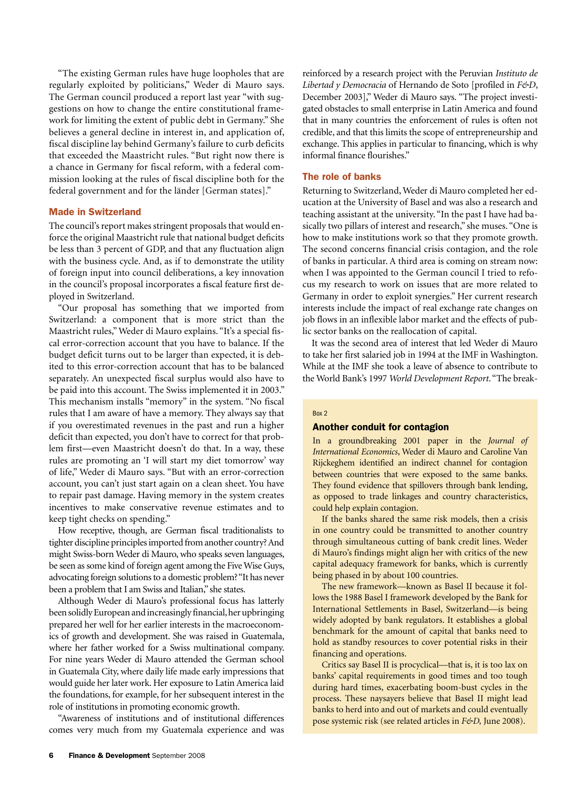"The existing German rules have huge loopholes that are regularly exploited by politicians," Weder di Mauro says. The German council produced a report last year "with suggestions on how to change the entire constitutional framework for limiting the extent of public debt in Germany." She believes a general decline in interest in, and application of, fiscal discipline lay behind Germany's failure to curb deficits that exceeded the Maastricht rules. "But right now there is a chance in Germany for fiscal reform, with a federal commission looking at the rules of fiscal discipline both for the federal government and for the länder [German states]."

#### Made in Switzerland

The council's report makes stringent proposals that would enforce the original Maastricht rule that national budget deficits be less than 3 percent of GDP, and that any fluctuation align with the business cycle. And, as if to demonstrate the utility of foreign input into council deliberations, a key innovation in the council's proposal incorporates a fiscal feature first deployed in Switzerland.-

"Our proposal has something that we imported from Switzerland: a component that is more strict than the Maastricht rules," Weder di Mauro explains. "It's a special fiscal error-correction account that you have to balance. If the budget deficit turns out to be larger than expected, it is debited to this error-correction account that has to be balanced separately. An unexpected fiscal surplus would also have to be paid into this account. The Swiss implemented it in 2003." This mechanism installs "memory" in the system. "No fiscal rules that I am aware of have a memory. They always say that if you overestimated revenues in the past and run a higher deficit than expected, you don't have to correct for that problem first—even Maastricht doesn't do that. In a way, these rules are promoting an 'I will start my diet tomorrow' way of life," Weder di Mauro says. "But with an error-correction account, you can't just start again on a clean sheet. You have to repair past damage. Having memory in the system creates incentives to make conservative revenue estimates and to keep tight checks on spending."

How receptive, though, are German fiscal traditionalists to tighter discipline principles imported from another country? And might Swiss-born Weder di Mauro, who speaks seven languages, be seen as some kind of foreign agent among the Five Wise Guys, advocating foreign solutions to a domestic problem? "It has never been a problem that I am Swiss and Italian," she states.

Although Weder di Mauro's professional focus has latterly been solidly European and increasingly financial, her upbringing prepared her well for her earlier interests in the macroeconomics of growth and development. She was raised in Guatemala, where her father worked for a Swiss multinational company. For nine years Weder di Mauro attended the German school in Guatemala City, where daily life made early impressions that would guide her later work. Her exposure to Latin America laid the foundations, for example, for her subsequent interest in the role of institutions in promoting economic growth.

"Awareness of institutions and of institutional differences comes very much from my Guatemala experience and was

reinforced by a research project with the Peruvian *Instituto de Libertad y Democracia* of Hernando de Soto [profiled in *F&D*, December 2003]," Weder di Mauro says. "The project investigated obstacles to small enterprise in Latin America and found that in many countries the enforcement of rules is often not credible, and that this limits the scope of entrepreneurship and exchange. This applies in particular to financing, which is why informal finance flourishes."

### The role of banks

Returning to Switzerland, Weder di Mauro completed her education at the University of Basel and was also a research and teaching assistant at the university. "In the past I have had basically two pillars of interest and research," she muses. "One is how to make institutions work so that they promote growth. The second concerns financial crisis contagion, and the role of banks in particular. A third area is coming on stream now: when I was appointed to the German council I tried to refocus my research to work on issues that are more related to Germany in order to exploit synergies." Her current research interests include the impact of real exchange rate changes on job flows in an inflexible labor market and the effects of public sector banks on the reallocation of capital.-

It was the second area of interest that led Weder di Mauro to take her first salaried job in 1994 at the IMF in Washington. While at the IMF she took a leave of absence to contribute to the World Bank's 1997 *World Development Report*. "The break-

#### Box 2

# Another conduit for contagion

In a groundbreaking 2001 paper in the *Journal of International Economics*, Weder di Mauro and Caroline Van Rijckeghem identified an indirect channel for contagion between countries that were exposed to the same banks. They found evidence that spillovers through bank lending, as opposed to trade linkages and country characteristics, could help explain contagion.

If the banks shared the same risk models, then a crisis in one country could be transmitted to another country through simultaneous cutting of bank credit lines. Weder di Mauro's findings might align her with critics of the new capital adequacy framework for banks, which is currently being phased in by about 100 countries.

The new framework—known as Basel II because it follows the 1988 Basel I framework developed by the Bank for International Settlements in Basel, Switzerland—is being widely adopted by bank regulators. It establishes a global benchmark for the amount of capital that banks need to hold as standby resources to cover potential risks in their financing and operations.-

Critics say Basel II is procyclical—that is, it is too lax on banks' capital requirements in good times and too tough during hard times, exacerbating boom-bust cycles in the process. These naysayers believe that Basel II might lead banks to herd into and out of markets and could eventually pose systemic risk (see related articles in *F&D,* June 2008).